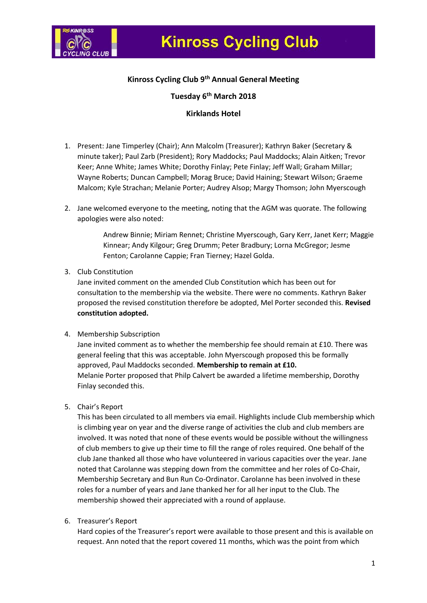

# **Kinross Cycling Club 9th Annual General Meeting**

# **Tuesday 6th March 2018**

#### **Kirklands Hotel**

- 1. Present: Jane Timperley (Chair); Ann Malcolm (Treasurer); Kathryn Baker (Secretary & minute taker); Paul Zarb (President); Rory Maddocks; Paul Maddocks; Alain Aitken; Trevor Keer; Anne White; James White; Dorothy Finlay; Pete Finlay; Jeff Wall; Graham Millar; Wayne Roberts; Duncan Campbell; Morag Bruce; David Haining; Stewart Wilson; Graeme Malcom; Kyle Strachan; Melanie Porter; Audrey Alsop; Margy Thomson; John Myerscough
- 2. Jane welcomed everyone to the meeting, noting that the AGM was quorate. The following apologies were also noted:

Andrew Binnie; Miriam Rennet; Christine Myerscough, Gary Kerr, Janet Kerr; Maggie Kinnear; Andy Kilgour; Greg Drumm; Peter Bradbury; Lorna McGregor; Jesme Fenton; Carolanne Cappie; Fran Tierney; Hazel Golda.

#### 3. Club Constitution

Jane invited comment on the amended Club Constitution which has been out for consultation to the membership via the website. There were no comments. Kathryn Baker proposed the revised constitution therefore be adopted, Mel Porter seconded this. **Revised constitution adopted.** 

#### 4. Membership Subscription

Jane invited comment as to whether the membership fee should remain at £10. There was general feeling that this was acceptable. John Myerscough proposed this be formally approved, Paul Maddocks seconded. **Membership to remain at £10.** Melanie Porter proposed that Philp Calvert be awarded a lifetime membership, Dorothy Finlay seconded this.

5. Chair's Report

This has been circulated to all members via email. Highlights include Club membership which is climbing year on year and the diverse range of activities the club and club members are involved. It was noted that none of these events would be possible without the willingness of club members to give up their time to fill the range of roles required. One behalf of the club Jane thanked all those who have volunteered in various capacities over the year. Jane noted that Carolanne was stepping down from the committee and her roles of Co-Chair, Membership Secretary and Bun Run Co-Ordinator. Carolanne has been involved in these roles for a number of years and Jane thanked her for all her input to the Club. The membership showed their appreciated with a round of applause.

6. Treasurer's Report

Hard copies of the Treasurer's report were available to those present and this is available on request. Ann noted that the report covered 11 months, which was the point from which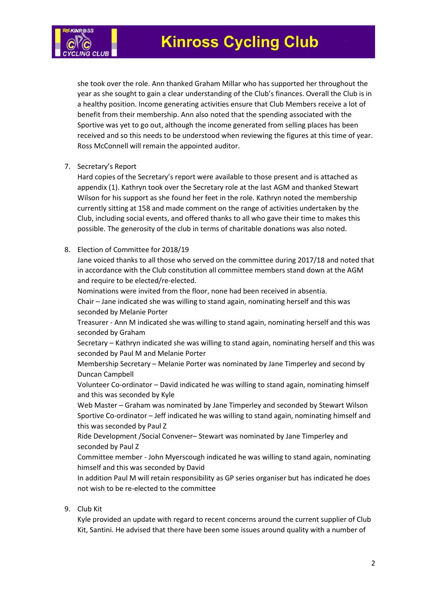

she took over the role. Ann thanked Graham Millar who has supported her throughout the year as she sought to gain a clear understanding of the Club's finances. Overall the Club is in a healthy position. Income generating activities ensure that Club Members receive a lot of benefit from their membership. Ann also noted that the spending associated with the Sportive was yet to go out, although the income generated from selling places has been received and so this needs to be understood when reviewing the figures at this time of year. Ross McConnell will remain the appointed auditor.

7. Secretary's Report

Hard copies of the Secretary's report were available to those present and is attached as appendix (1). Kathryn took over the Secretary role at the last AGM and thanked Stewart Wilson for his support as she found her feet in the role. Kathryn noted the membership currently sitting at 158 and made comment on the range of activities undertaken by the Club, including social events, and offered thanks to all who gave their time to makes this possible. The generosity of the club in terms of charitable donations was also noted.

#### 8. Election of Committee for 2018/19

Jane voiced thanks to all those who served on the committee during 2017/18 and noted that in accordance with the Club constitution all committee members stand down at the AGM and require to be elected/re-elected.

Nominations were invited from the floor, none had been received in absentia.

Chair – Jane indicated she was willing to stand again, nominating herself and this was seconded by Melanie Porter

Treasurer - Ann M indicated she was willing to stand again, nominating herself and this was seconded by Graham

Secretary – Kathryn indicated she was willing to stand again, nominating herself and this was seconded by Paul M and Melanie Porter

Membership Secretary – Melanie Porter was nominated by Jane Timperley and second by Duncan Campbell

Volunteer Co-ordinator – David indicated he was willing to stand again, nominating himself and this was seconded by Kyle

Web Master – Graham was nominated by Jane Timperley and seconded by Stewart Wilson Sportive Co-ordinator – Jeff indicated he was willing to stand again, nominating himself and this was seconded by Paul Z

Ride Development /Social Convener– Stewart was nominated by Jane Timperley and seconded by Paul Z

Committee member - John Myerscough indicated he was willing to stand again, nominating himself and this was seconded by David

In addition Paul M will retain responsibility as GP series organiser but has indicated he does not wish to be re-elected to the committee

#### 9. Club Kit

Kyle provided an update with regard to recent concerns around the current supplier of Club Kit, Santini. He advised that there have been some issues around quality with a number of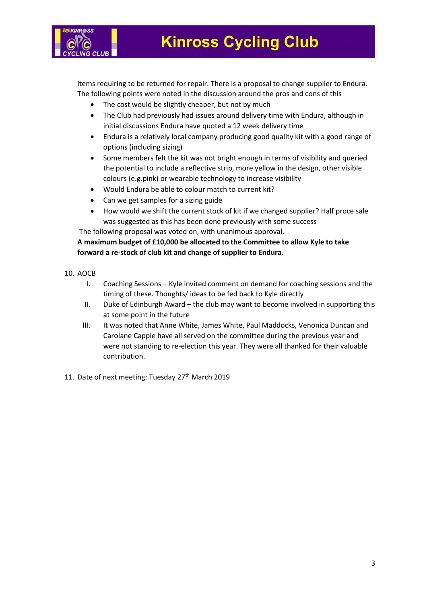

items requiring to be returned for repair. There is a proposal to change supplier to Endura. The following points were noted in the discussion around the pros and cons of this

- The cost would be slightly cheaper, but not by much
- The Club had previously had issues around delivery time with Endura, although in initial discussions Endura have quoted a 12 week delivery time
- Endura is a relatively local company producing good quality kit with a good range of options (including sizing)
- Some members felt the kit was not bright enough in terms of visibility and queried the potential to include a reflective strip, more yellow in the design, other visible colours (e.g.pink) or wearable technology to increase visibility
- Would Endura be able to colour match to current kit?
- Can we get samples for a sizing guide
- How would we shift the current stock of kit if we changed supplier? Half proce sale was suggested as this has been done previously with some success

The following proposal was voted on, with unanimous approval.

**A maximum budget of £10,000 be allocated to the Committee to allow Kyle to take forward a re-stock of club kit and change of supplier to Endura.**

- 10. AOCB
	- I. Coaching Sessions Kyle invited comment on demand for coaching sessions and the timing of these. Thoughts/ ideas to be fed back to Kyle directly
	- II. Duke of Edinburgh Award the club may want to become involved in supporting this at some point in the future
	- III. It was noted that Anne White, James White, Paul Maddocks, Venonica Duncan and Carolane Cappie have all served on the committee during the previous year and were not standing to re-election this year. They were all thanked for their valuable contribution.
- 11. Date of next meeting: Tuesday 27<sup>th</sup> March 2019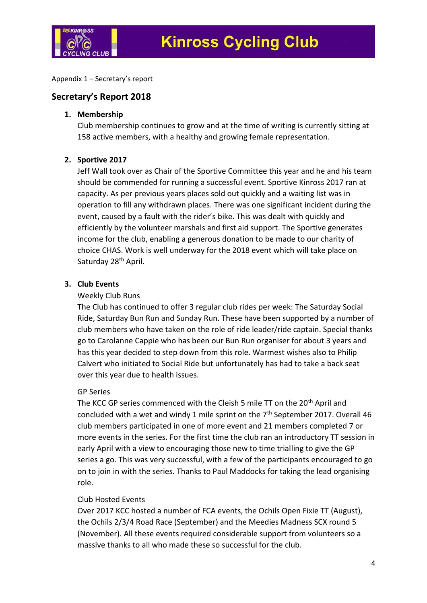

Appendix 1 – Secretary's report

## **Secretary's Report 2018**

#### **1. Membership**

Club membership continues to grow and at the time of writing is currently sitting at 158 active members, with a healthy and growing female representation.

## **2. Sportive 2017**

Jeff Wall took over as Chair of the Sportive Committee this year and he and his team should be commended for running a successful event. Sportive Kinross 2017 ran at capacity. As per previous years places sold out quickly and a waiting list was in operation to fill any withdrawn places. There was one significant incident during the event, caused by a fault with the rider's bike. This was dealt with quickly and efficiently by the volunteer marshals and first aid support. The Sportive generates income for the club, enabling a generous donation to be made to our charity of choice CHAS. Work is well underway for the 2018 event which will take place on Saturday 28<sup>th</sup> April.

# **3. Club Events**

## Weekly Club Runs

The Club has continued to offer 3 regular club rides per week: The Saturday Social Ride, Saturday Bun Run and Sunday Run. These have been supported by a number of club members who have taken on the role of ride leader/ride captain. Special thanks go to Carolanne Cappie who has been our Bun Run organiser for about 3 years and has this year decided to step down from this role. Warmest wishes also to Philip Calvert who initiated to Social Ride but unfortunately has had to take a back seat over this year due to health issues.

## GP Series

The KCC GP series commenced with the Cleish 5 mile TT on the 20th April and concluded with a wet and windy 1 mile sprint on the  $7<sup>th</sup>$  September 2017. Overall 46 club members participated in one of more event and 21 members completed 7 or more events in the series. For the first time the club ran an introductory TT session in early April with a view to encouraging those new to time trialling to give the GP series a go. This was very successful, with a few of the participants encouraged to go on to join in with the series. Thanks to Paul Maddocks for taking the lead organising role.

## Club Hosted Events

Over 2017 KCC hosted a number of FCA events, the Ochils Open Fixie TT (August), the Ochils 2/3/4 Road Race (September) and the Meedies Madness SCX round 5 (November). All these events required considerable support from volunteers so a massive thanks to all who made these so successful for the club.